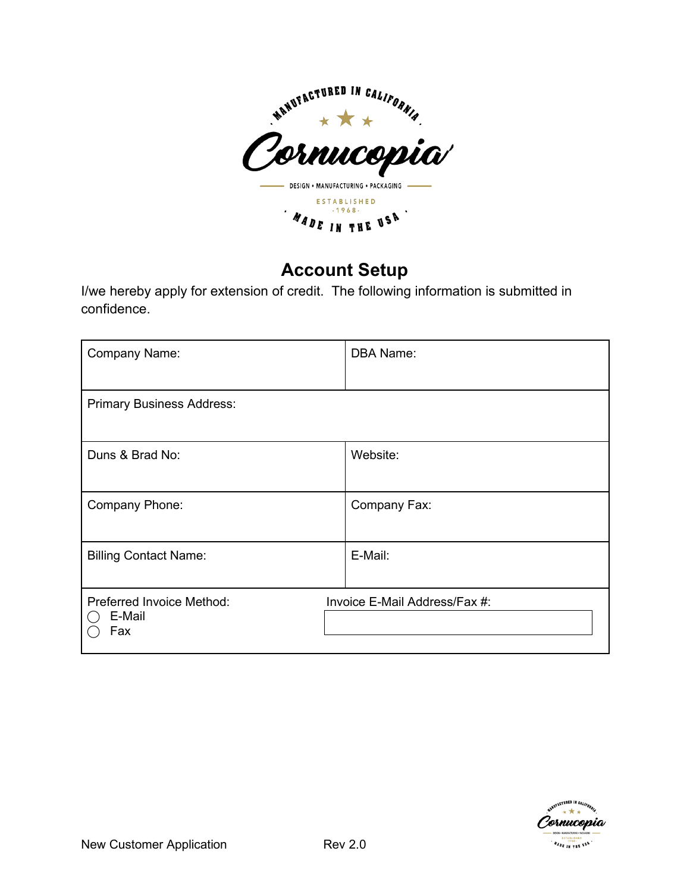

# **Account Setup**

I/we hereby apply for extension of credit. The following information is submitted in confidence.

| Company Name:                              | <b>DBA Name:</b>              |
|--------------------------------------------|-------------------------------|
| <b>Primary Business Address:</b>           |                               |
| Duns & Brad No:                            | Website:                      |
| Company Phone:                             | Company Fax:                  |
| <b>Billing Contact Name:</b>               | E-Mail:                       |
| Preferred Invoice Method:<br>E-Mail<br>Fax | Invoice E-Mail Address/Fax #: |

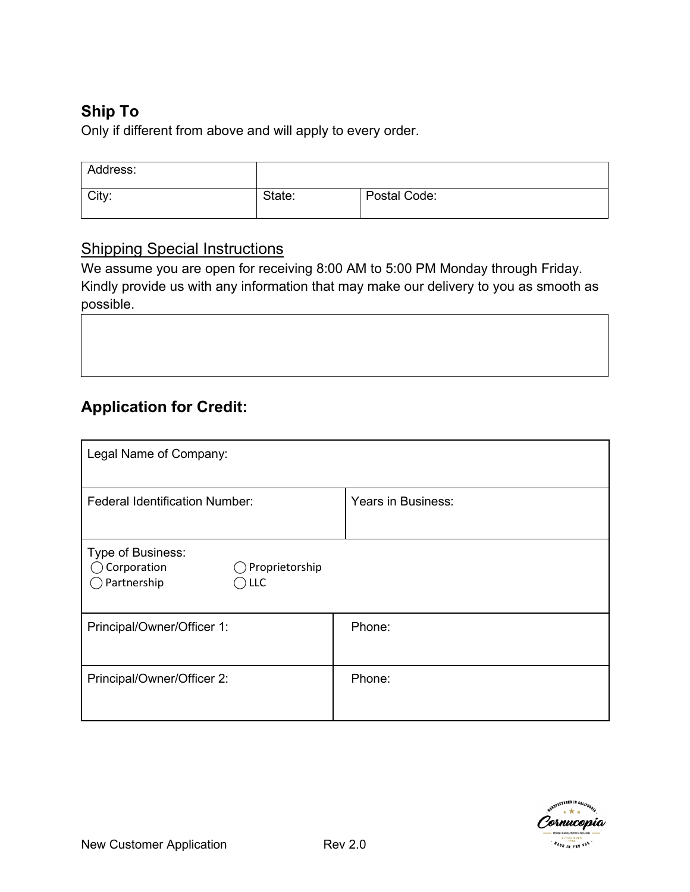## **Ship To**

Only if different from above and will apply to every order.

| Address: |        |              |
|----------|--------|--------------|
| City:    | State: | Postal Code: |

### Shipping Special Instructions

We assume you are open for receiving 8:00 AM to 5:00 PM Monday through Friday. Kindly provide us with any information that may make our delivery to you as smooth as possible.

# **Application for Credit:**

| Legal Name of Company:                                                              |                    |  |  |
|-------------------------------------------------------------------------------------|--------------------|--|--|
| <b>Federal Identification Number:</b>                                               | Years in Business: |  |  |
| Type of Business:<br>Corporation<br>Proprietorship<br>$\bigcirc$ Partnership<br>LLC |                    |  |  |
| Principal/Owner/Officer 1:                                                          | Phone:             |  |  |
| Principal/Owner/Officer 2:                                                          | Phone:             |  |  |

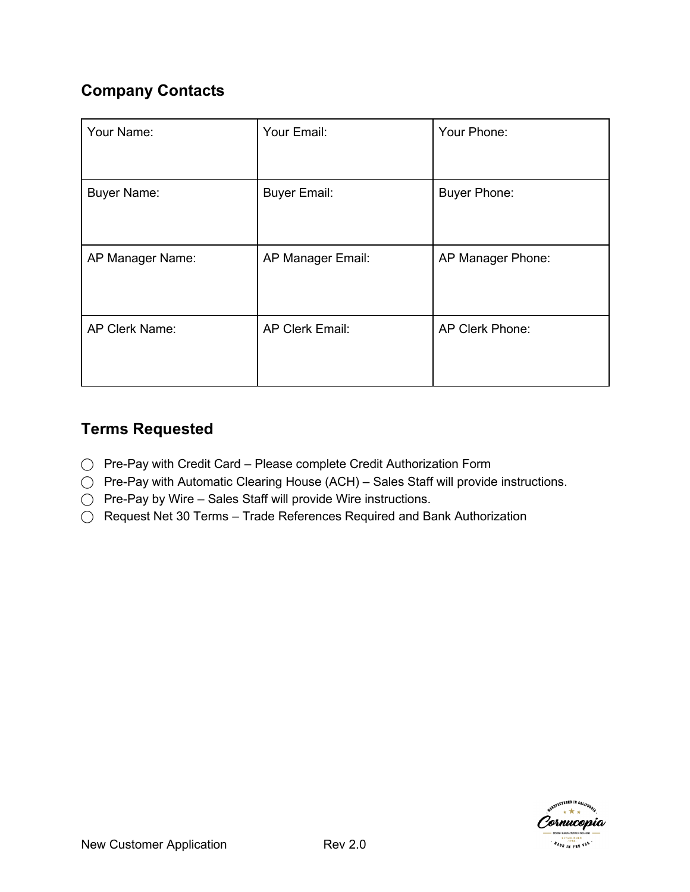## **Company Contacts**

| Your Name:         | Your Email:            | Your Phone:         |
|--------------------|------------------------|---------------------|
| <b>Buyer Name:</b> | <b>Buyer Email:</b>    | <b>Buyer Phone:</b> |
| AP Manager Name:   | AP Manager Email:      | AP Manager Phone:   |
| AP Clerk Name:     | <b>AP Clerk Email:</b> | AP Clerk Phone:     |

## **Terms Requested**

- ⃝ Pre-Pay with Credit Card Please complete Credit Authorization Form
- ◯ Pre-Pay with Automatic Clearing House (ACH) Sales Staff will provide instructions.
- ⃝ Pre-Pay by Wire Sales Staff will provide Wire instructions.
- ⃝ Request Net 30 Terms Trade References Required and Bank Authorization

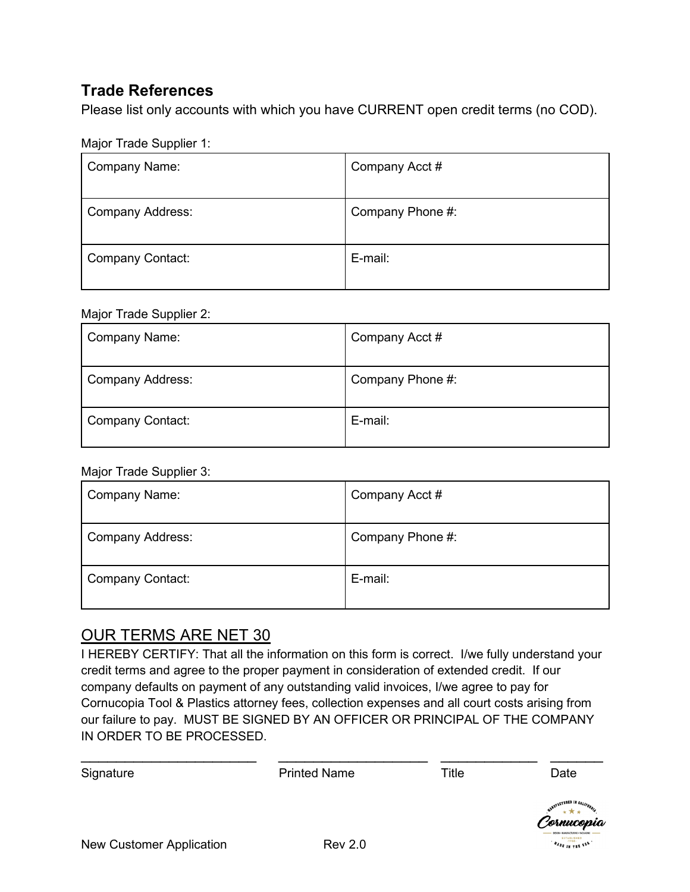### **Trade References**

Please list only accounts with which you have CURRENT open credit terms (no COD).

Major Trade Supplier 1:

| <b>Company Name:</b>    | Company Acct #   |
|-------------------------|------------------|
| <b>Company Address:</b> | Company Phone #: |
| <b>Company Contact:</b> | E-mail:          |

#### Major Trade Supplier 2:

| Company Name:           | Company Acct #   |
|-------------------------|------------------|
| <b>Company Address:</b> | Company Phone #: |
| <b>Company Contact:</b> | E-mail:          |

#### Major Trade Supplier 3:

| <b>Company Name:</b>    | Company Acct #   |
|-------------------------|------------------|
| <b>Company Address:</b> | Company Phone #: |
| <b>Company Contact:</b> | E-mail:          |

### OUR TERMS ARE NET 30

I HEREBY CERTIFY: That all the information on this form is correct. I/we fully understand your credit terms and agree to the proper payment in consideration of extended credit. If our company defaults on payment of any outstanding valid invoices, I/we agree to pay for Cornucopia Tool & Plastics attorney fees, collection expenses and all court costs arising from our failure to pay. MUST BE SIGNED BY AN OFFICER OR PRINCIPAL OF THE COMPANY IN ORDER TO BE PROCESSED.

| IN ORDER TO BE PROCESSED. |                                           |       |                                                                |
|---------------------------|-------------------------------------------|-------|----------------------------------------------------------------|
| Signature                 | <b>Printed Name</b>                       | Title | Date                                                           |
|                           |                                           |       | NANUFACTURED IN CALIFORNIA<br>Cornucopia<br><b>ESTABLISHED</b> |
| .                         | $\overline{\phantom{a}}$<br>$\sim$ $\sim$ |       |                                                                |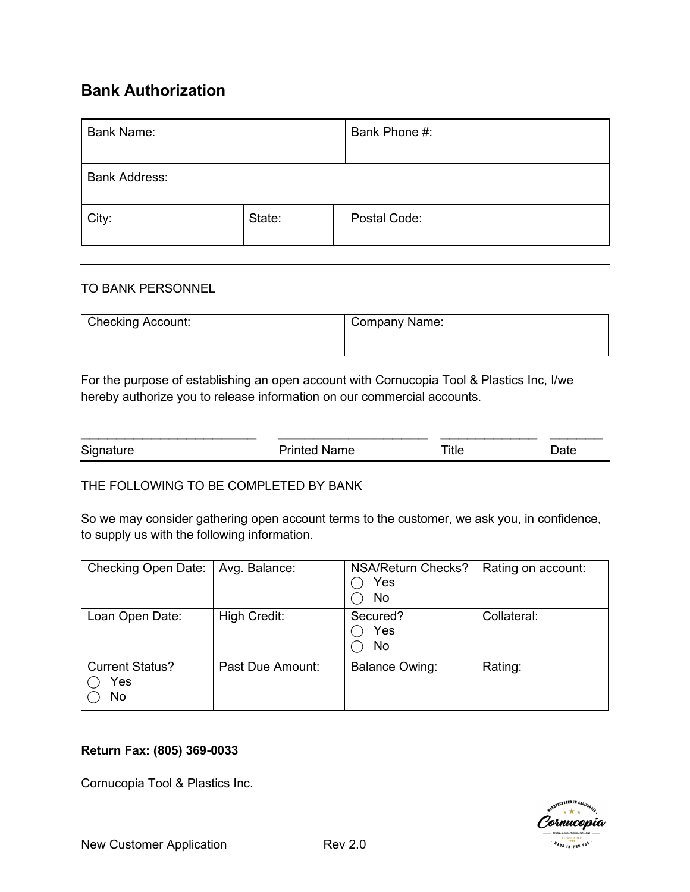### **Bank Authorization**

| <b>Bank Name:</b>    |        | Bank Phone #: |
|----------------------|--------|---------------|
| <b>Bank Address:</b> |        |               |
| City:                | State: | Postal Code:  |

#### TO BANK PERSONNEL

| <b>Checking Account:</b> | Company Name: |
|--------------------------|---------------|
|                          |               |

For the purpose of establishing an open account with Cornucopia Tool & Plastics Inc, I/we hereby authorize you to release information on our commercial accounts.

| Signature | <b>Printed Name</b> | ™itle | วate |
|-----------|---------------------|-------|------|

#### THE FOLLOWING TO BE COMPLETED BY BANK

So we may consider gathering open account terms to the customer, we ask you, in confidence, to supply us with the following information.

| Checking Open Date:                  | Avg. Balance:    | NSA/Return Checks?<br>Yes<br>No | Rating on account: |
|--------------------------------------|------------------|---------------------------------|--------------------|
| Loan Open Date:                      | High Credit:     | Secured?<br>Yes<br>No           | Collateral:        |
| <b>Current Status?</b><br>Yes<br>No. | Past Due Amount: | <b>Balance Owing:</b>           | Rating:            |

#### **Return Fax: (805) 369-0033**

Cornucopia Tool & Plastics Inc.